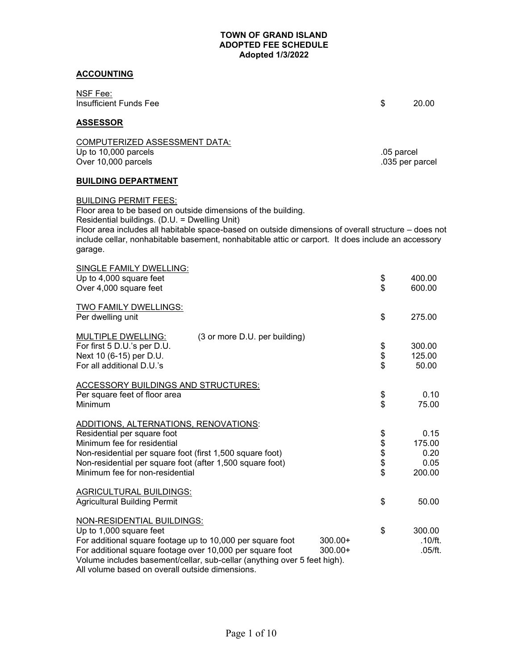### **ACCOUNTING**

NSF Fee: Insufficient Funds Fee \$ 20.00

#### **ASSESSOR**

COMPUTERIZED ASSESSMENT DATA: Up to 10,000 parcels .05 parcel Over  $10,000$  parcels

### **BUILDING DEPARTMENT**

#### BUILDING PERMIT FEES:

Floor area to be based on outside dimensions of the building. Residential buildings. (D.U. = Dwelling Unit) Floor area includes all habitable space-based on outside dimensions of overall structure – does not

include cellar, nonhabitable basement, nonhabitable attic or carport. It does include an accessory garage.

| SINGLE FAMILY DWELLING:<br>Up to 4,000 square feet<br>Over 4,000 square feet                                                                                                                                                                                                                                                                     | \$<br>\$       | 400.00<br>600.00                         |
|--------------------------------------------------------------------------------------------------------------------------------------------------------------------------------------------------------------------------------------------------------------------------------------------------------------------------------------------------|----------------|------------------------------------------|
| TWO FAMILY DWELLINGS:<br>Per dwelling unit                                                                                                                                                                                                                                                                                                       | \$             | 275.00                                   |
| <b>MULTIPLE DWELLING:</b><br>(3 or more D.U. per building)<br>For first 5 D.U.'s per D.U.<br>Next 10 (6-15) per D.U.<br>For all additional D.U.'s                                                                                                                                                                                                | \$<br>\$<br>\$ | 300.00<br>125.00<br>50.00                |
| ACCESSORY BUILDINGS AND STRUCTURES:<br>Per square feet of floor area<br>Minimum                                                                                                                                                                                                                                                                  | \$             | 0.10<br>75.00                            |
| ADDITIONS, ALTERNATIONS, RENOVATIONS:<br>Residential per square foot<br>Minimum fee for residential<br>Non-residential per square foot (first 1,500 square foot)<br>Non-residential per square foot (after 1,500 square foot)<br>Minimum fee for non-residential                                                                                 | \$\$\$\$\$     | 0.15<br>175.00<br>0.20<br>0.05<br>200.00 |
| <b>AGRICULTURAL BUILDINGS:</b><br><b>Agricultural Building Permit</b>                                                                                                                                                                                                                                                                            | \$             | 50.00                                    |
| <b>NON-RESIDENTIAL BUILDINGS:</b><br>Up to 1,000 square feet<br>For additional square footage up to 10,000 per square foot<br>$300.00+$<br>For additional square footage over 10,000 per square foot<br>$300.00+$<br>Volume includes basement/cellar, sub-cellar (anything over 5 feet high).<br>All volume based on overall outside dimensions. | \$             | 300.00<br>.10/ft.<br>.05/ft.             |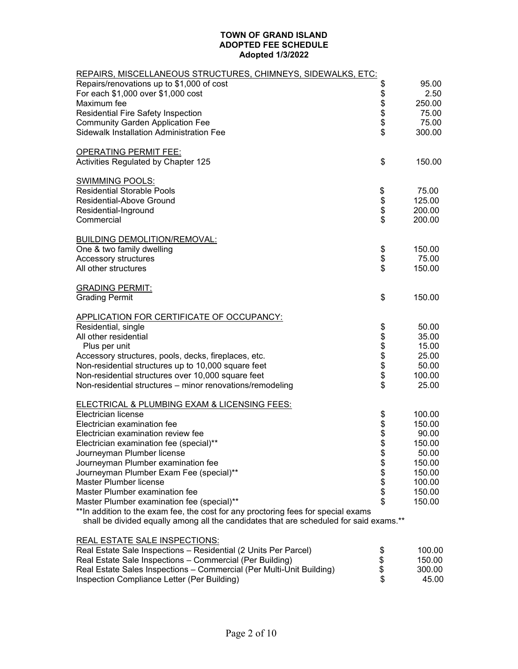| REPAIRS, MISCELLANEOUS STRUCTURES, CHIMNEYS, SIDEWALKS, ETC:                                                                |                |                  |
|-----------------------------------------------------------------------------------------------------------------------------|----------------|------------------|
| Repairs/renovations up to \$1,000 of cost                                                                                   | \$             | 95.00            |
| For each \$1,000 over \$1,000 cost                                                                                          |                | 2.50             |
| Maximum fee                                                                                                                 |                | 250.00           |
| Residential Fire Safety Inspection                                                                                          | \$\$\$\$\$     | 75.00            |
| <b>Community Garden Application Fee</b>                                                                                     |                | 75.00            |
| <b>Sidewalk Installation Administration Fee</b>                                                                             |                | 300.00           |
| <u>OPERATING PERMIT FEE:</u>                                                                                                |                |                  |
| Activities Regulated by Chapter 125                                                                                         | \$             | 150.00           |
| <b>SWIMMING POOLS:</b>                                                                                                      |                |                  |
| <b>Residential Storable Pools</b>                                                                                           | \$             | 75.00            |
| Residential-Above Ground                                                                                                    | \$\$\$         | 125.00           |
| Residential-Inground                                                                                                        |                | 200.00           |
| Commercial                                                                                                                  |                | 200.00           |
| <b>BUILDING DEMOLITION/REMOVAL:</b>                                                                                         |                |                  |
| One & two family dwelling                                                                                                   |                | 150.00           |
| <b>Accessory structures</b>                                                                                                 | \$<br>\$       | 75.00            |
| All other structures                                                                                                        |                | 150.00           |
| <b>GRADING PERMIT:</b>                                                                                                      |                |                  |
| <b>Grading Permit</b>                                                                                                       | \$             | 150.00           |
| <b>APPLICATION FOR CERTIFICATE OF OCCUPANCY:</b>                                                                            |                |                  |
| Residential, single                                                                                                         |                | 50.00            |
| All other residential                                                                                                       |                | 35.00            |
| Plus per unit                                                                                                               | <b>8888888</b> | 15.00            |
| Accessory structures, pools, decks, fireplaces, etc.                                                                        |                | 25.00            |
| Non-residential structures up to 10,000 square feet                                                                         |                | 50.00            |
| Non-residential structures over 10,000 square feet                                                                          |                | 100.00           |
| Non-residential structures - minor renovations/remodeling                                                                   |                | 25.00            |
| <b>ELECTRICAL &amp; PLUMBING EXAM &amp; LICENSING FEES:</b>                                                                 |                |                  |
| Electrician license                                                                                                         |                | 100.00           |
| Electrician examination fee                                                                                                 | \$\$\$\$       | 150.00           |
| Electrician examination review fee                                                                                          |                | 90.00            |
| Electrician examination fee (special)**                                                                                     |                | 150.00           |
| Journeyman Plumber license                                                                                                  | \$             | 50.00            |
| Journeyman Plumber examination fee                                                                                          |                | 150.00           |
| Journeyman Plumber Exam Fee (special)**                                                                                     |                | 150.00           |
| Master Plumber license                                                                                                      | <b>88888</b>   | 100.00           |
| Master Plumber examination fee                                                                                              |                | 150.00           |
| Master Plumber examination fee (special)**                                                                                  |                | 150.00           |
| **In addition to the exam fee, the cost for any proctoring fees for special exams                                           |                |                  |
| shall be divided equally among all the candidates that are scheduled for said exams.**                                      |                |                  |
| <b>REAL ESTATE SALE INSPECTIONS:</b>                                                                                        |                |                  |
| Real Estate Sale Inspections - Residential (2 Units Per Parcel)<br>Real Estate Sale Inspections - Commercial (Per Building) | \$<br>\$       | 100.00<br>150.00 |
|                                                                                                                             |                |                  |

| $\overline{1}$ ited LSIGLE JOIN IIIS DEVICING - INCSIDENTIAL (2) UTILS FIGHT FOLCE! | - 11 | 100.00 |
|-------------------------------------------------------------------------------------|------|--------|
| Real Estate Sale Inspections – Commercial (Per Building)                            |      | 150.00 |
| Real Estate Sales Inspections – Commercial (Per Multi-Unit Building)                | S    | 300.00 |
| Inspection Compliance Letter (Per Building)                                         |      | 45.00  |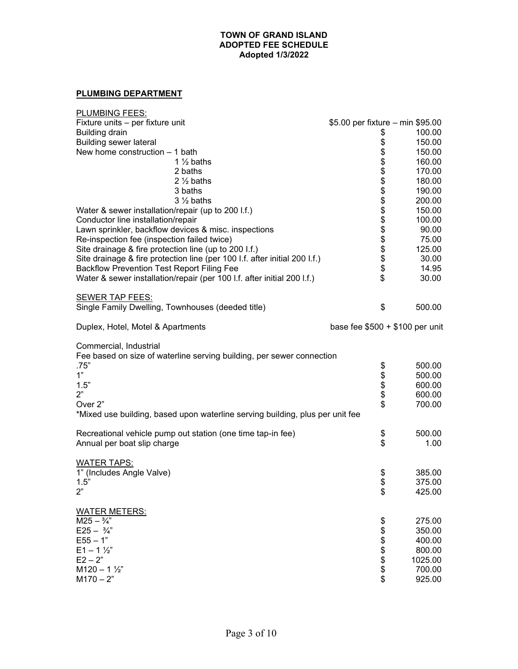# **PLUMBING DEPARTMENT**

| <b>PLUMBING FEES:</b>                                                         |                                  |         |
|-------------------------------------------------------------------------------|----------------------------------|---------|
| Fixture units - per fixture unit                                              | \$5.00 per fixture - min \$95.00 |         |
| <b>Building drain</b>                                                         | \$                               | 100.00  |
| <b>Building sewer lateral</b>                                                 |                                  | 150.00  |
| New home construction $-1$ bath                                               |                                  | 150.00  |
| 1 $\frac{1}{2}$ baths                                                         |                                  | 160.00  |
| 2 baths                                                                       |                                  | 170.00  |
| $2\frac{1}{2}$ baths                                                          |                                  | 180.00  |
| 3 baths                                                                       |                                  | 190.00  |
| $3\frac{1}{2}$ baths                                                          | 888888888888888                  | 200.00  |
| Water & sewer installation/repair (up to 200 I.f.)                            |                                  | 150.00  |
| Conductor line installation/repair                                            |                                  | 100.00  |
| Lawn sprinkler, backflow devices & misc. inspections                          |                                  | 90.00   |
| Re-inspection fee (inspection failed twice)                                   |                                  | 75.00   |
| Site drainage & fire protection line (up to 200 I.f.)                         |                                  | 125.00  |
| Site drainage & fire protection line (per 100 I.f. after initial 200 I.f.)    |                                  | 30.00   |
| <b>Backflow Prevention Test Report Filing Fee</b>                             |                                  | 14.95   |
| Water & sewer installation/repair (per 100 l.f. after initial 200 l.f.)       |                                  | 30.00   |
| <b>SEWER TAP FEES:</b>                                                        |                                  |         |
| Single Family Dwelling, Townhouses (deeded title)                             | \$                               | 500.00  |
| Duplex, Hotel, Motel & Apartments                                             | base fee $$500 + $100$ per unit  |         |
| Commercial, Industrial                                                        |                                  |         |
| Fee based on size of waterline serving building, per sewer connection         |                                  |         |
| .75"                                                                          |                                  | 500.00  |
| 1"                                                                            | \$\$\$\$\$                       | 500.00  |
| 1.5"                                                                          |                                  | 600.00  |
| 2"                                                                            |                                  | 600.00  |
| Over 2"                                                                       |                                  | 700.00  |
| *Mixed use building, based upon waterline serving building, plus per unit fee |                                  |         |
| Recreational vehicle pump out station (one time tap-in fee)                   | \$                               | 500.00  |
| Annual per boat slip charge                                                   | \$                               | 1.00    |
| <b>WATER TAPS:</b>                                                            |                                  |         |
| 1" (Includes Angle Valve)                                                     | \$                               | 385.00  |
| 1.5"                                                                          | \$                               | 375.00  |
| 2"                                                                            | \$                               | 425.00  |
| <b>WATER METERS:</b>                                                          |                                  |         |
| $M25 - \frac{3}{4}$                                                           | \$                               | 275.00  |
| $E25 - \frac{3}{4}$                                                           |                                  | 350.00  |
| $E55 - 1"$                                                                    | <b>888888</b>                    | 400.00  |
| $E1 - 1 \frac{1}{2}$                                                          |                                  | 800.00  |
| $E2 - 2"$                                                                     |                                  | 1025.00 |
| $M120 - 1\frac{1}{2}$                                                         |                                  | 700.00  |
| $M170 - 2"$                                                                   |                                  | 925.00  |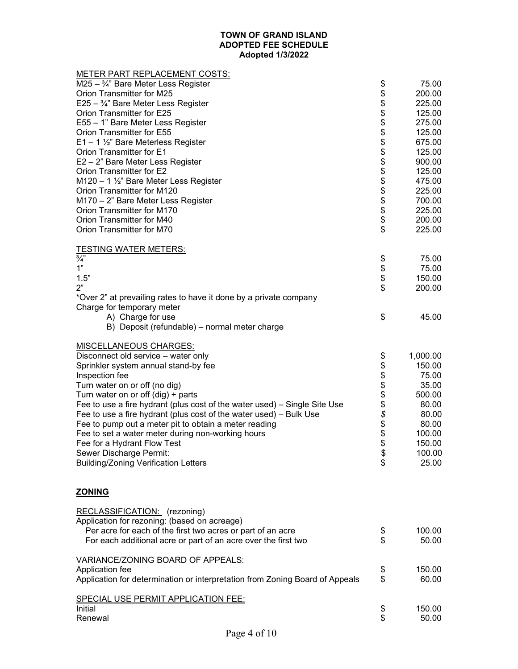| <b>METER PART REPLACEMENT COSTS:</b>                                         |                                                                               |          |
|------------------------------------------------------------------------------|-------------------------------------------------------------------------------|----------|
| M25 - 3/4" Bare Meter Less Register                                          |                                                                               | 75.00    |
| Orion Transmitter for M25                                                    |                                                                               | 200.00   |
| E25 - $\frac{3}{4}$ " Bare Meter Less Register                               |                                                                               | 225.00   |
| Orion Transmitter for E25                                                    |                                                                               | 125.00   |
| E55 - 1" Bare Meter Less Register                                            |                                                                               | 275.00   |
| Orion Transmitter for E55                                                    |                                                                               | 125.00   |
| $E1 - 1$ 1/2" Bare Meterless Register                                        |                                                                               | 675.00   |
| Orion Transmitter for E1                                                     |                                                                               | 125.00   |
| E2 - 2" Bare Meter Less Register                                             | ୫୫୫୫ <del>୧</del><br>୧୫ <del>୧</del><br>୧୫ ୧୫ <del>୧</del><br>୧୫ <del>୧</del> | 900.00   |
| Orion Transmitter for E2                                                     |                                                                               | 125.00   |
| M120 - 1 1/2" Bare Meter Less Register                                       |                                                                               | 475.00   |
| Orion Transmitter for M120                                                   |                                                                               | 225.00   |
| M170 - 2" Bare Meter Less Register                                           |                                                                               | 700.00   |
| Orion Transmitter for M170                                                   |                                                                               | 225.00   |
| Orion Transmitter for M40                                                    |                                                                               | 200.00   |
| Orion Transmitter for M70                                                    |                                                                               | 225.00   |
| <b>TESTING WATER METERS:</b>                                                 |                                                                               |          |
| $\frac{3}{4}$                                                                | \$                                                                            | 75.00    |
| 1"                                                                           | \$\$\$                                                                        | 75.00    |
| $1.5"$                                                                       |                                                                               | 150.00   |
| 2"                                                                           |                                                                               | 200.00   |
| *Over 2" at prevailing rates to have it done by a private company            |                                                                               |          |
| Charge for temporary meter<br>A) Charge for use                              | \$                                                                            | 45.00    |
|                                                                              |                                                                               |          |
| B) Deposit (refundable) - normal meter charge                                |                                                                               |          |
| <b>MISCELLANEOUS CHARGES:</b>                                                |                                                                               |          |
| Disconnect old service - water only                                          | \$                                                                            | 1,000.00 |
| Sprinkler system annual stand-by fee                                         |                                                                               | 150.00   |
| Inspection fee                                                               | <b>88888888</b>                                                               | 75.00    |
| Turn water on or off (no dig)                                                |                                                                               | 35.00    |
| Turn water on or off $(dig) + parts$                                         |                                                                               | 500.00   |
| Fee to use a fire hydrant (plus cost of the water used) - Single Site Use    |                                                                               | 80.00    |
| Fee to use a fire hydrant (plus cost of the water used) – Bulk Use           |                                                                               | 80.00    |
| Fee to pump out a meter pit to obtain a meter reading                        |                                                                               | 80.00    |
| Fee to set a water meter during non-working hours                            |                                                                               | 100.00   |
| Fee for a Hydrant Flow Test                                                  | \$                                                                            | 150.00   |
| Sewer Discharge Permit:                                                      | \$                                                                            | 100.00   |
| <b>Building/Zoning Verification Letters</b>                                  | \$                                                                            | 25.00    |
| <b>ZONING</b>                                                                |                                                                               |          |
| RECLASSIFICATION: (rezoning)                                                 |                                                                               |          |
| Application for rezoning: (based on acreage)                                 |                                                                               |          |
| Per acre for each of the first two acres or part of an acre                  | \$                                                                            | 100.00   |
| For each additional acre or part of an acre over the first two               | \$                                                                            | 50.00    |
| VARIANCE/ZONING BOARD OF APPEALS:                                            |                                                                               |          |
| Application fee                                                              | \$                                                                            | 150.00   |
| Application for determination or interpretation from Zoning Board of Appeals | \$                                                                            | 60.00    |
| SPECIAL USE PERMIT APPLICATION FEE:                                          |                                                                               |          |
| Initial                                                                      | \$                                                                            | 150.00   |
| Renewal                                                                      | \$                                                                            | 50.00    |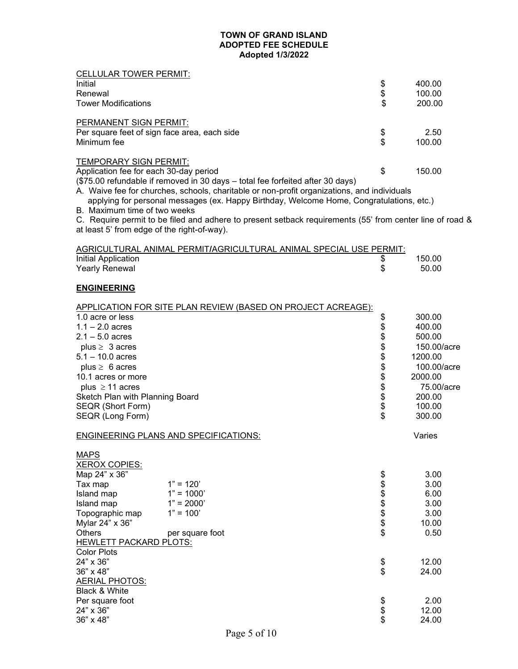| <b>CELLULAR TOWER PERMIT:</b>                |                                                                                                          |                  |             |
|----------------------------------------------|----------------------------------------------------------------------------------------------------------|------------------|-------------|
| Initial                                      |                                                                                                          | \$               | 400.00      |
| Renewal                                      |                                                                                                          | \$               | 100.00      |
| <b>Tower Modifications</b>                   |                                                                                                          | \$               |             |
|                                              |                                                                                                          |                  | 200.00      |
| PERMANENT SIGN PERMIT:                       |                                                                                                          |                  |             |
| Per square feet of sign face area, each side |                                                                                                          | \$               | 2.50        |
| Minimum fee                                  |                                                                                                          | \$               | 100.00      |
|                                              |                                                                                                          |                  |             |
| TEMPORARY SIGN PERMIT:                       |                                                                                                          |                  |             |
| Application fee for each 30-day period       |                                                                                                          | \$               | 150.00      |
|                                              | (\$75.00 refundable if removed in 30 days - total fee forfeited after 30 days)                           |                  |             |
|                                              | A. Waive fee for churches, schools, charitable or non-profit organizations, and individuals              |                  |             |
|                                              | applying for personal messages (ex. Happy Birthday, Welcome Home, Congratulations, etc.)                 |                  |             |
| B. Maximum time of two weeks                 |                                                                                                          |                  |             |
|                                              | C. Require permit to be filed and adhere to present setback requirements (55' from center line of road & |                  |             |
| at least 5' from edge of the right-of-way).  |                                                                                                          |                  |             |
|                                              |                                                                                                          |                  |             |
|                                              | AGRICULTURAL ANIMAL PERMIT/AGRICULTURAL ANIMAL SPECIAL USE PERMIT:                                       |                  |             |
| Initial Application                          |                                                                                                          | \$               | 150.00      |
| <b>Yearly Renewal</b>                        |                                                                                                          | \$               | 50.00       |
|                                              |                                                                                                          |                  |             |
| <b>ENGINEERING</b>                           |                                                                                                          |                  |             |
|                                              |                                                                                                          |                  |             |
|                                              | APPLICATION FOR SITE PLAN REVIEW (BASED ON PROJECT ACREAGE):                                             |                  |             |
| 1.0 acre or less                             |                                                                                                          | \$               | 300.00      |
| $1.1 - 2.0$ acres                            |                                                                                                          |                  | 400.00      |
| $2.1 - 5.0$ acres                            |                                                                                                          |                  | 500.00      |
| plus $\geq 3$ acres                          |                                                                                                          |                  | 150.00/acre |
| $5.1 - 10.0$ acres                           |                                                                                                          |                  | 1200.00     |
| plus $\geq 6$ acres                          |                                                                                                          | <b>888888888</b> | 100.00/acre |
| 10.1 acres or more                           |                                                                                                          |                  | 2000.00     |
| plus $\geq$ 11 acres                         |                                                                                                          |                  | 75.00/acre  |
| Sketch Plan with Planning Board              |                                                                                                          |                  | 200.00      |
| SEQR (Short Form)                            |                                                                                                          |                  | 100.00      |
| SEQR (Long Form)                             |                                                                                                          |                  | 300.00      |
|                                              |                                                                                                          |                  |             |
|                                              | <b>ENGINEERING PLANS AND SPECIFICATIONS:</b>                                                             |                  | Varies      |
| <b>MAPS</b>                                  |                                                                                                          |                  |             |
| <b>XEROX COPIES:</b>                         |                                                                                                          |                  |             |
| Map 24" x 36"                                |                                                                                                          |                  | 3.00        |
| Tax map                                      | $1" = 120'$                                                                                              |                  | 3.00        |
| Island map                                   | $1" = 1000'$                                                                                             |                  | 6.00        |
| Island map                                   | $1" = 2000'$                                                                                             |                  | 3.00        |
| Topographic map                              | $1" = 100'$                                                                                              | <b>8888888</b>   | 3.00        |
| Mylar 24" x 36"                              |                                                                                                          |                  | 10.00       |
| <b>Others</b>                                | per square foot                                                                                          |                  | 0.50        |
| <b>HEWLETT PACKARD PLOTS:</b>                |                                                                                                          |                  |             |
| <b>Color Plots</b>                           |                                                                                                          |                  |             |
| 24" x 36"                                    |                                                                                                          | \$               | 12.00       |
| 36" x 48"                                    |                                                                                                          | \$               | 24.00       |
| <b>AERIAL PHOTOS:</b>                        |                                                                                                          |                  |             |
| Black & White                                |                                                                                                          |                  |             |
| Per square foot                              |                                                                                                          |                  | 2.00        |
| 24" x 36"                                    |                                                                                                          | \$<br>\$         | 12.00       |
| 36" x 48"                                    |                                                                                                          |                  | 24.00       |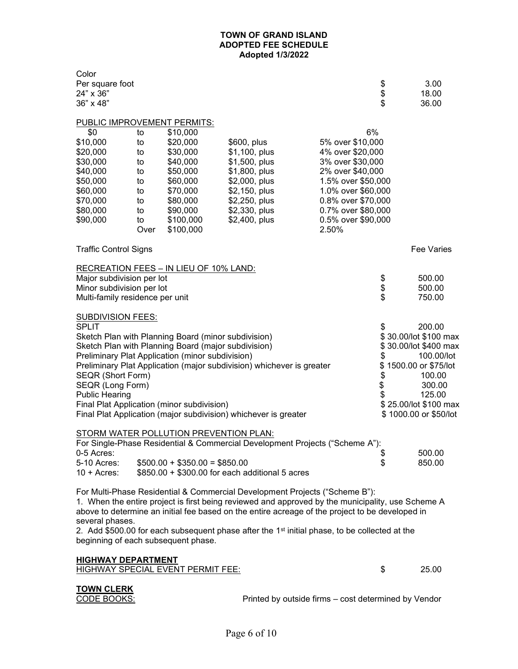| Color<br>Per square foot<br>24" x 36"<br>36" x 48" |            |                                                     |                                                                                                           |                             | \$<br>\$<br>\$ | 3.00<br>18.00<br>36.00 |
|----------------------------------------------------|------------|-----------------------------------------------------|-----------------------------------------------------------------------------------------------------------|-----------------------------|----------------|------------------------|
| <u>PUBLIC IMPROVEMENT PERMITS:</u>                 |            |                                                     |                                                                                                           |                             |                |                        |
| \$0                                                | to         | \$10,000                                            |                                                                                                           |                             | 6%             |                        |
| \$10,000                                           | to         | \$20,000                                            | \$600, plus                                                                                               | 5% over \$10,000            |                |                        |
| \$20,000                                           | to         | \$30,000                                            | \$1,100, plus                                                                                             | 4% over \$20,000            |                |                        |
| \$30,000                                           | to         | \$40,000                                            | \$1,500, plus                                                                                             | 3% over \$30,000            |                |                        |
| \$40,000                                           | to         | \$50,000                                            | \$1,800, plus                                                                                             | 2% over \$40,000            |                |                        |
| \$50,000                                           | to         | \$60,000                                            | \$2,000, plus                                                                                             | 1.5% over \$50,000          |                |                        |
| \$60,000                                           | to         | \$70,000                                            | \$2,150, plus                                                                                             | 1.0% over \$60,000          |                |                        |
| \$70,000                                           | to         | \$80,000                                            | \$2,250, plus                                                                                             | 0.8% over \$70,000          |                |                        |
| \$80,000                                           | to         | \$90,000                                            | \$2,330, plus                                                                                             | 0.7% over \$80,000          |                |                        |
| \$90,000                                           | to<br>Over | \$100,000<br>\$100,000                              | \$2,400, plus                                                                                             | 0.5% over \$90,000<br>2.50% |                |                        |
| <b>Traffic Control Signs</b>                       |            |                                                     |                                                                                                           |                             |                | Fee Varies             |
|                                                    |            | RECREATION FEES - IN LIEU OF 10% LAND:              |                                                                                                           |                             |                |                        |
| Major subdivision per lot                          |            |                                                     |                                                                                                           |                             | \$<br>\$       | 500.00                 |
| Minor subdivision per lot                          |            |                                                     |                                                                                                           |                             |                | 500.00                 |
| Multi-family residence per unit                    |            |                                                     |                                                                                                           |                             |                | 750.00                 |
| <u>SUBDIVISION FEES:</u>                           |            |                                                     |                                                                                                           |                             |                |                        |
| <b>SPLIT</b>                                       |            |                                                     |                                                                                                           |                             | \$             | 200.00                 |
|                                                    |            | Sketch Plan with Planning Board (minor subdivision) |                                                                                                           |                             |                | \$30.00/lot \$100 max  |
|                                                    |            | Sketch Plan with Planning Board (major subdivision) |                                                                                                           |                             |                | \$30.00/lot \$400 max  |
|                                                    |            | Preliminary Plat Application (minor subdivision)    |                                                                                                           |                             | \$             | 100.00/lot             |
|                                                    |            |                                                     | Preliminary Plat Application (major subdivision) whichever is greater                                     |                             |                | \$1500.00 or \$75/lot  |
| SEQR (Short Form)<br><b>SEQR (Long Form)</b>       |            |                                                     |                                                                                                           |                             | \$<br>\$       | 100.00<br>300.00       |
| <b>Public Hearing</b>                              |            |                                                     |                                                                                                           |                             |                | 125.00                 |
|                                                    |            | Final Plat Application (minor subdivision)          |                                                                                                           |                             |                | \$25.00/lot \$100 max  |
|                                                    |            |                                                     | Final Plat Application (major subdivision) whichever is greater                                           |                             |                | \$1000.00 or \$50/lot  |
|                                                    |            |                                                     |                                                                                                           |                             |                |                        |
|                                                    |            | STORM WATER POLLUTION PREVENTION PLAN:              |                                                                                                           |                             |                |                        |
|                                                    |            |                                                     | For Single-Phase Residential & Commercial Development Projects ("Scheme A"):                              |                             |                |                        |
| 0-5 Acres:                                         |            |                                                     |                                                                                                           |                             | \$             | 500.00                 |
| 5-10 Acres:                                        |            | $$500.00 + $350.00 = $850.00$                       |                                                                                                           |                             | \$             | 850.00                 |
| $10 +$ Acres:                                      |            |                                                     | \$850.00 + \$300.00 for each additional 5 acres                                                           |                             |                |                        |
|                                                    |            |                                                     | For Multi-Phase Residential & Commercial Development Projects ("Scheme B"):                               |                             |                |                        |
|                                                    |            |                                                     | 1. When the entire project is first being reviewed and approved by the municipality, use Scheme A         |                             |                |                        |
|                                                    |            |                                                     | above to determine an initial fee based on the entire acreage of the project to be developed in           |                             |                |                        |
| several phases.                                    |            |                                                     |                                                                                                           |                             |                |                        |
|                                                    |            |                                                     | 2. Add \$500.00 for each subsequent phase after the 1 <sup>st</sup> initial phase, to be collected at the |                             |                |                        |
| beginning of each subsequent phase.                |            |                                                     |                                                                                                           |                             |                |                        |
| <u>HIGHWAY DEPARTMENT</u>                          |            |                                                     |                                                                                                           |                             |                |                        |
|                                                    |            | <u>HIGHWAY SPECIAL EVENT PERMIT FEE:</u>            |                                                                                                           |                             | \$             | 25.00                  |
|                                                    |            |                                                     |                                                                                                           |                             |                |                        |
| <b>TOWN CLERK</b>                                  |            |                                                     |                                                                                                           |                             |                |                        |
| CODE BOOKS:                                        |            |                                                     | Printed by outside firms - cost determined by Vendor                                                      |                             |                |                        |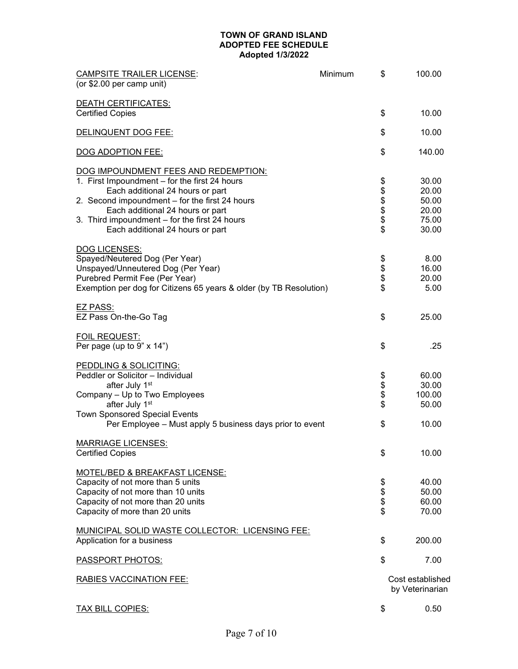| <b>CAMPSITE TRAILER LICENSE:</b><br>(or \$2.00 per camp unit)      | Minimum | \$         | 100.00                              |
|--------------------------------------------------------------------|---------|------------|-------------------------------------|
| <b>DEATH CERTIFICATES:</b>                                         |         |            |                                     |
| <b>Certified Copies</b>                                            |         | \$         | 10.00                               |
| <b>DELINQUENT DOG FEE:</b>                                         |         | \$         | 10.00                               |
| DOG ADOPTION FEE:                                                  |         | \$         | 140.00                              |
| DOG IMPOUNDMENT FEES AND REDEMPTION:                               |         |            |                                     |
| 1. First Impoundment - for the first 24 hours                      |         |            | 30.00                               |
| Each additional 24 hours or part                                   |         | \$\$\$\$\$ | 20.00                               |
| 2. Second impoundment - for the first 24 hours                     |         |            | 50.00                               |
| Each additional 24 hours or part                                   |         |            | 20.00                               |
| 3. Third impoundment - for the first 24 hours                      |         |            | 75.00                               |
| Each additional 24 hours or part                                   |         | $\ddot{s}$ | 30.00                               |
| DOG LICENSES:                                                      |         |            |                                     |
| Spayed/Neutered Dog (Per Year)                                     |         |            | 8.00                                |
| Unspayed/Unneutered Dog (Per Year)                                 |         | \$<br>\$   | 16.00                               |
| Purebred Permit Fee (Per Year)                                     |         |            | 20.00                               |
| Exemption per dog for Citizens 65 years & older (by TB Resolution) |         | \$         | 5.00                                |
| EZ PASS:                                                           |         |            |                                     |
| EZ Pass On-the-Go Tag                                              |         | \$         | 25.00                               |
| <b>FOIL REQUEST:</b>                                               |         |            |                                     |
| Per page (up to $9" \times 14"$ )                                  |         | \$         | .25                                 |
| <b>PEDDLING &amp; SOLICITING:</b>                                  |         |            |                                     |
| Peddler or Solicitor - Individual                                  |         |            | 60.00                               |
| after July 1st                                                     |         |            | 30.00                               |
| Company - Up to Two Employees                                      |         | \$\$\$\$   | 100.00                              |
| after July 1st                                                     |         |            | 50.00                               |
| <b>Town Sponsored Special Events</b>                               |         |            |                                     |
| Per Employee - Must apply 5 business days prior to event           |         | \$         | 10.00                               |
| <b>MARRIAGE LICENSES:</b>                                          |         |            |                                     |
| <b>Certified Copies</b>                                            |         | \$         | 10.00                               |
| MOTEL/BED & BREAKFAST LICENSE:                                     |         |            |                                     |
| Capacity of not more than 5 units                                  |         | \$         | 40.00                               |
| Capacity of not more than 10 units                                 |         | \$         | 50.00                               |
| Capacity of not more than 20 units                                 |         | \$         | 60.00                               |
| Capacity of more than 20 units                                     |         | \$         | 70.00                               |
| <b>MUNICIPAL SOLID WASTE COLLECTOR: LICENSING FEE:</b>             |         |            |                                     |
| Application for a business                                         |         | \$         | 200.00                              |
| <b>PASSPORT PHOTOS:</b>                                            |         | \$         | 7.00                                |
| <b>RABIES VACCINATION FEE:</b>                                     |         |            | Cost established<br>by Veterinarian |
| <b>TAX BILL COPIES:</b>                                            |         | \$         | 0.50                                |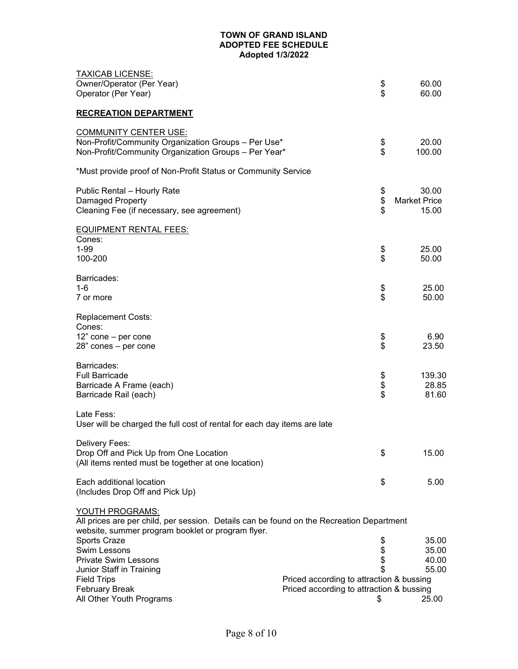| <b>TAXICAB LICENSE:</b><br>Owner/Operator (Per Year)<br>Operator (Per Year)                                                                                      | \$<br>\$                                                                                   | 60.00<br>60.00                        |
|------------------------------------------------------------------------------------------------------------------------------------------------------------------|--------------------------------------------------------------------------------------------|---------------------------------------|
| <b>RECREATION DEPARTMENT</b>                                                                                                                                     |                                                                                            |                                       |
| <b>COMMUNITY CENTER USE:</b><br>Non-Profit/Community Organization Groups - Per Use*<br>Non-Profit/Community Organization Groups - Per Year*                      | \$<br>\$                                                                                   | 20.00<br>100.00                       |
| *Must provide proof of Non-Profit Status or Community Service                                                                                                    |                                                                                            |                                       |
| Public Rental - Hourly Rate<br>Damaged Property<br>Cleaning Fee (if necessary, see agreement)                                                                    | \$<br>\$<br>\$                                                                             | 30.00<br><b>Market Price</b><br>15.00 |
| <b>EQUIPMENT RENTAL FEES:</b><br>Cones:<br>$1 - 99$<br>100-200                                                                                                   | \$<br>\$                                                                                   | 25.00<br>50.00                        |
| Barricades:<br>$1 - 6$<br>7 or more                                                                                                                              | \$<br>\$                                                                                   | 25.00<br>50.00                        |
| <b>Replacement Costs:</b><br>Cones:<br>$12"$ cone - per cone<br>28" cones - per cone                                                                             | \$<br>\$                                                                                   | 6.90<br>23.50                         |
| Barricades:<br><b>Full Barricade</b><br>Barricade A Frame (each)<br>Barricade Rail (each)                                                                        | \$<br>\$<br>\$                                                                             | 139.30<br>28.85<br>81.60              |
| Late Fess:<br>User will be charged the full cost of rental for each day items are late                                                                           |                                                                                            |                                       |
| Delivery Fees:<br>Drop Off and Pick Up from One Location<br>(All items rented must be together at one location)                                                  | \$                                                                                         | 15.00                                 |
| Each additional location<br>(Includes Drop Off and Pick Up)                                                                                                      | \$                                                                                         | 5.00                                  |
| YOUTH PROGRAMS:<br>All prices are per child, per session. Details can be found on the Recreation Department<br>website, summer program booklet or program flyer. |                                                                                            |                                       |
| Sports Craze<br>Swim Lessons<br><b>Private Swim Lessons</b><br>Junior Staff in Training                                                                          | \$<br>\$\$                                                                                 | 35.00<br>35.00<br>40.00<br>55.00      |
| <b>Field Trips</b><br><b>February Break</b><br>All Other Youth Programs                                                                                          | Priced according to attraction & bussing<br>Priced according to attraction & bussing<br>\$ | 25.00                                 |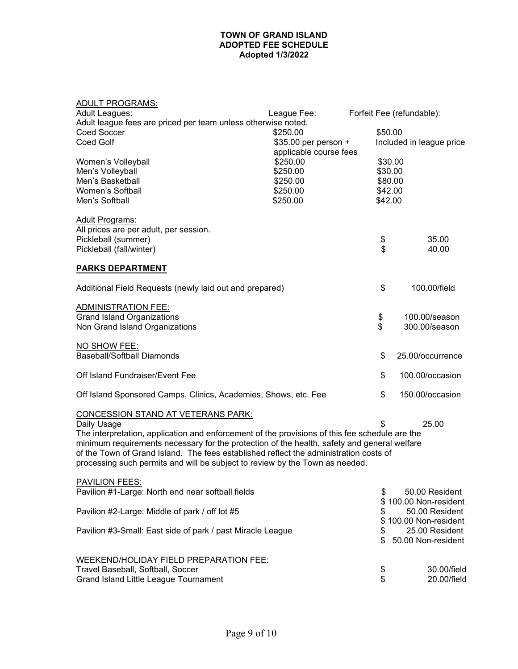# ADULT PROGRAMS:

| Adult Leagues:                                                                                 | League Fee:            |          | Forfeit Fee (refundable): |
|------------------------------------------------------------------------------------------------|------------------------|----------|---------------------------|
| Adult league fees are priced per team unless otherwise noted.                                  |                        |          |                           |
| Coed Soccer                                                                                    | \$250.00               | \$50.00  |                           |
| Coed Golf                                                                                      | \$35.00 per person +   |          | Included in league price  |
|                                                                                                | applicable course fees |          |                           |
| Women's Volleyball                                                                             | \$250.00               | \$30.00  |                           |
| Men's Volleyball                                                                               | \$250.00               | \$30.00  |                           |
| Men's Basketball                                                                               | \$250.00               | \$80.00  |                           |
| Women's Softball                                                                               |                        |          |                           |
|                                                                                                | \$250.00               | \$42.00  |                           |
| Men's Softball                                                                                 | \$250.00               | \$42.00  |                           |
|                                                                                                |                        |          |                           |
| <b>Adult Programs:</b>                                                                         |                        |          |                           |
| All prices are per adult, per session.                                                         |                        |          |                           |
| Pickleball (summer)                                                                            |                        | \$       | 35.00                     |
| Pickleball (fall/winter)                                                                       |                        | \$       | 40.00                     |
| <b>PARKS DEPARTMENT</b>                                                                        |                        |          |                           |
|                                                                                                |                        |          |                           |
| Additional Field Requests (newly laid out and prepared)                                        |                        | \$       | 100.00/field              |
|                                                                                                |                        |          |                           |
| <b>ADMINISTRATION FEE:</b>                                                                     |                        |          |                           |
| <b>Grand Island Organizations</b>                                                              |                        | \$       | 100.00/season             |
| Non Grand Island Organizations                                                                 |                        | \$       | 300.00/season             |
|                                                                                                |                        |          |                           |
| NO SHOW FEE:                                                                                   |                        |          |                           |
| <b>Baseball/Softball Diamonds</b>                                                              |                        | \$       | 25.00/occurrence          |
|                                                                                                |                        |          |                           |
| Off Island Fundraiser/Event Fee                                                                |                        | \$       | 100.00/occasion           |
|                                                                                                |                        |          |                           |
| Off Island Sponsored Camps, Clinics, Academies, Shows, etc. Fee                                |                        | \$       | 150.00/occasion           |
|                                                                                                |                        |          |                           |
| CONCESSION STAND AT VETERANS PARK:                                                             |                        |          |                           |
| Daily Usage                                                                                    |                        |          | 25.00                     |
| The interpretation, application and enforcement of the provisions of this fee schedule are the |                        |          |                           |
| minimum requirements necessary for the protection of the health, safety and general welfare    |                        |          |                           |
| of the Town of Grand Island. The fees established reflect the administration costs of          |                        |          |                           |
| processing such permits and will be subject to review by the Town as needed.                   |                        |          |                           |
|                                                                                                |                        |          |                           |
| <b>PAVILION FEES:</b>                                                                          |                        |          |                           |
| Pavilion #1-Large: North end near softball fields                                              |                        | \$       | 50.00 Resident            |
|                                                                                                |                        | \$.      | 100.00 Non-resident       |
| Pavilion #2-Large: Middle of park / off lot #5                                                 |                        | \$       | 50.00 Resident            |
|                                                                                                |                        |          | 100.00 Non-resident       |
|                                                                                                |                        |          |                           |
| Pavilion #3-Small: East side of park / past Miracle League                                     |                        | \$       | 25.00 Resident            |
|                                                                                                |                        | \$       | 50.00 Non-resident        |
|                                                                                                |                        |          |                           |
| <b>WEEKEND/HOLIDAY FIELD PREPARATION FEE:</b>                                                  |                        |          |                           |
| Travel Baseball, Softball, Soccer                                                              |                        | \$<br>\$ | 30.00/field               |
| Grand Island Little League Tournament                                                          |                        |          | 20.00/field               |